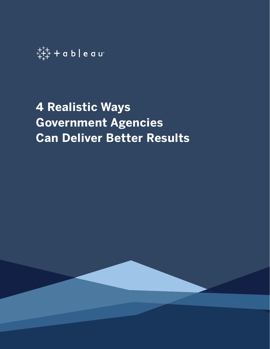

# **4 Realistic Ways Government Agencies Can Deliver Better Results**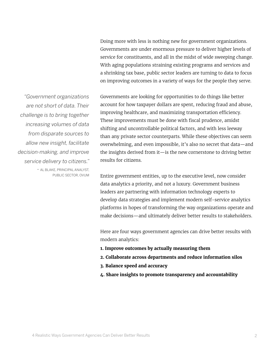Doing more with less is nothing new for government organizations. Governments are under enormous pressure to deliver higher levels of service for constituents, and all in the midst of wide sweeping change. With aging populations straining existing programs and services and a shrinking tax base, public sector leaders are turning to data to focus on improving outcomes in a variety of ways for the people they serve.

*"Government organizations are not short of data. Their challenge is to bring together increasing volumes of data from disparate sources to allow new insight, facilitate decision-making, and improve service delivery to citizens."*  - AL BLAKE, PRINCIPAL ANALYST,

PUBLIC SECTOR, OVUM

Governments are looking for opportunities to do things like better account for how taxpayer dollars are spent, reducing fraud and abuse, improving healthcare, and maximizing transportation efficiency. These improvements must be done with fiscal prudence, amidst shifting and uncontrollable political factors, and with less leeway than any private sector counterparts. While these objectives can seem overwhelming, and even impossible, it's also no secret that data—and the insights derived from it—is the new cornerstone to driving better results for citizens.

Entire government entities, up to the executive level, now consider data analytics a priority, and not a luxury. Government business leaders are partnering with information technology experts to develop data strategies and implement modern self-service analytics platforms in hopes of transforming the way organizations operate and make decisions—and ultimately deliver better results to stakeholders.

Here are four ways government agencies can drive better results with modern analytics:

- **1. Improve outcomes by actually measuring them**
- **2. Collaborate across departments and reduce information silos**
- **3. Balance speed and accuracy**
- **4. Share insights to promote transparency and accountability**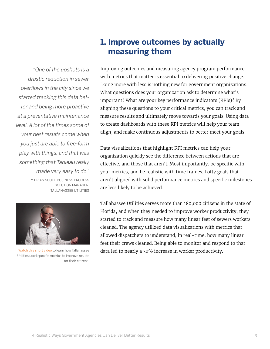*"One of the upshots is a drastic reduction in sewer overflows in the city since we started tracking this data better and being more proactive at a preventative maintenance level. A lot of the times some of your best results come when you just are able to free-form play with things, and that was something that Tableau really made very easy to do."*

- BRIAN SCOTT, BUSINESS PROCESS SOLUTION MANAGER, TALLAHASSEE UTILITIES



[Watch this short video](https://www.tableau.com/solutions/customer/tallahassee-utilities-improve-services-quality-and-productivity) to learn how Tallahassee Utilities used specific metrics to improve results for their citizens.

## **1. Improve outcomes by actually measuring them**

Improving outcomes and measuring agency program performance with metrics that matter is essential to delivering positive change. Doing more with less is nothing new for government organizations. What questions does your organization ask to determine what's important? What are your key performance indicators (KPIs)? By aligning these questions to your critical metrics, you can track and measure results and ultimately move towards your goals. Using data to create dashboards with these KPI metrics will help your team align, and make continuous adjustments to better meet your goals.

Data visualizations that highlight KPI metrics can help your organization quickly see the difference between actions that are effective, and those that aren't. Most importantly, be specific with your metrics, and be realistic with time frames. Lofty goals that aren't aligned with solid performance metrics and specific milestones are less likely to be achieved.

Tallahassee Utilities serves more than 180,000 citizens in the state of Florida, and when they needed to improve worker productivity, they started to track and measure how many linear feet of sewers workers cleaned. The agency utilized data visualizations with metrics that allowed dispatchers to understand, in real-time, how many linear feet their crews cleaned. Being able to monitor and respond to that data led to nearly a 30% increase in worker productivity.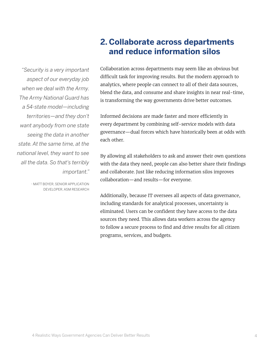## **2. Collaborate across departments and reduce information silos**

*"Security is a very important aspect of our everyday job when we deal with the Army. The Army National Guard has a 54-state model—including territories—and they don't want anybody from one state seeing the data in another state. At the same time, at the national level, they want to see all the data. So that's terribly important."*

> - MATT BOYER, SENIOR APPLICATION DEVELOPER, ASM RESEARCH

Collaboration across departments may seem like an obvious but difficult task for improving results. But the modern approach to analytics, where people can connect to all of their data sources, blend the data, and consume and share insights in near real-time, is transforming the way governments drive better outcomes.

Informed decisions are made faster and more efficiently in every department by combining self-service models with data governance—dual forces which have historically been at odds with each other.

By allowing all stakeholders to ask and answer their own questions with the data they need, people can also better share their findings and collaborate. Just like reducing information silos improves collaboration—and results—for everyone.

Additionally, because IT oversees all aspects of data governance, including standards for analytical processes, uncertainty is eliminated. Users can be confident they have access to the data sources they need. This allows data workers across the agency to follow a secure process to find and drive results for all citizen programs, services, and budgets.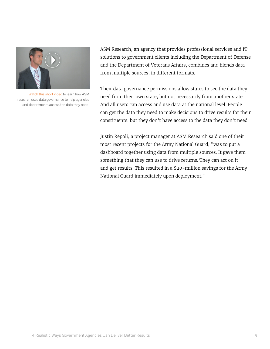

[Watch this short video](https://www.tableau.com/solutions/customer/asm-research-mission-accomplished-army-national-guard-data) to learn how ASM research uses data governance to help agencies and departments access the data they need.

ASM Research, an agency that provides professional services and IT solutions to government clients including the Department of Defense and the Department of Veterans Affairs, combines and blends data from multiple sources, in different formats.

Their data governance permissions allow states to see the data they need from their own state, but not necessarily from another state. And all users can access and use data at the national level. People can get the data they need to make decisions to drive results for their constituents, but they don't have access to the data they don't need.

Justin Repoli, a project manager at ASM Research said one of their most recent projects for the Army National Guard, "was to put a dashboard together using data from multiple sources. It gave them something that they can use to drive returns. They can act on it and get results. This resulted in a \$20-million savings for the Army National Guard immediately upon deployment."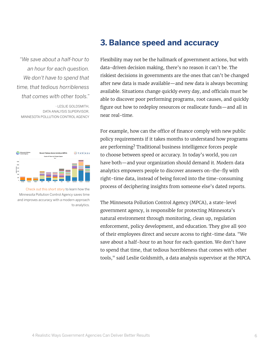*"We save about a half-hour to an hour for each question. We don't have to spend that time, that tedious horribleness that comes with other tools."*



[Check out this short story](https://www.tableau.com/solutions/customer/minnesota-pollution-control-agency-clears-view-data) to learn how the Minnesota Pollution Control Agency saves time and improves accuracy with a modern approach to analytics.

#### **3. Balance speed and accuracy**

Flexibility may not be the hallmark of government actions, but with data-driven decision making, there's no reason it can't be. The riskiest decisions in governments are the ones that can't be changed after new data is made available—and new data is always becoming available. Situations change quickly every day, and officials must be able to discover poor performing programs, root causes, and quickly figure out how to redeploy resources or reallocate funds—and all in near real-time.

For example, how can the office of finance comply with new public policy requirements if it takes months to understand how programs are performing? Traditional business intelligence forces people to choose between speed or accuracy. In today's world, you *can* have both—and your organization should demand it. Modern data analytics empowers people to discover answers on-the-fly with right-time data, instead of being forced into the time-consuming process of deciphering insights from someone else's dated reports.

The Minnesota Pollution Control Agency (MPCA), a state-level government agency, is responsible for protecting Minnesota's natural environment through monitoring, clean up, regulation enforcement, policy development, and education. They give all 900 of their employees direct and secure access to right-time data. "We save about a half-hour to an hour for each question. We don't have to spend that time, that tedious horribleness that comes with other tools," said Leslie Goldsmith, a data analysis supervisor at the MPCA.

<sup>-</sup> LESLIE GOLDSMITH, DATA ANALYSIS SUPERVISOR, MINNESOTA POLLUTION CONTROL AGENCY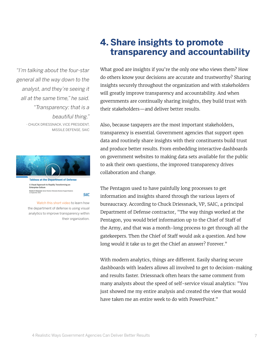*"I'm talking about the four-star general all the way down to the analyst, and they're seeing it all at the same time," he said. "Transparency: that is a beautiful thing."* - CHUCK DRIESSNACK, VICE PRESIDENT, MISSILE DEFENSE, SAIC



**Tableau at the Department of Defense** A Visual Approach to Rapidly Transforming an Enterprise Culture Charles H. Driessnack, Senior Director, Enterprise Decision Support Systems<br>11 September 2014

[Watch this short video](https://www.tableau.com/learn/webinars/department-defense-visual-approach-rapidly-transforming-culture) to learn how the department of defense is using visual analytics to improve transparency within their organization.

**SAIC** 

# **4. Share insights to promote transparency and accountability**

What good are insights if you're the only one who views them? How do others know your decisions are accurate and trustworthy? Sharing insights securely throughout the organization and with stakeholders will greatly improve transparency and accountability. And when governments are continually sharing insights, they build trust with their stakeholders—and deliver better results.

Also, because taxpayers are the most important stakeholders, transparency is essential. Government agencies that support open data and routinely share insights with their constituents build trust and produce better results. From embedding interactive dashboards on government websites to making data sets available for the public to ask their own questions, the improved transparency drives collaboration and change.

The Pentagon used to have painfully long processes to get information and insights shared through the various layers of bureaucracy. According to Chuck Driessnack, VP, SAIC, a principal Department of Defense contractor, "The way things worked at the Pentagon, you would brief information up to the Chief of Staff of the Army, and that was a month-long process to get through all the gatekeepers. Then the Chief of Staff would ask a question. And how long would it take us to get the Chief an answer? Forever."

With modern analytics, things are different. Easily sharing secure dashboards with leaders allows all involved to get to decision-making and results faster. Driessnack often hears the same comment from many analysts about the speed of self-service visual analytics: "You just showed me my entire analysis and created the view that would have taken me an entire week to do with PowerPoint."